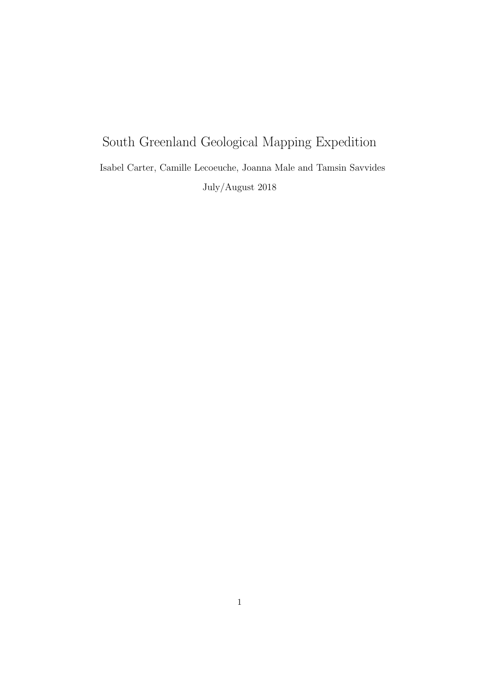# South Greenland Geological Mapping Expedition Isabel Carter, Camille Lecoeuche, Joanna Male and Tamsin Savvides July/August 2018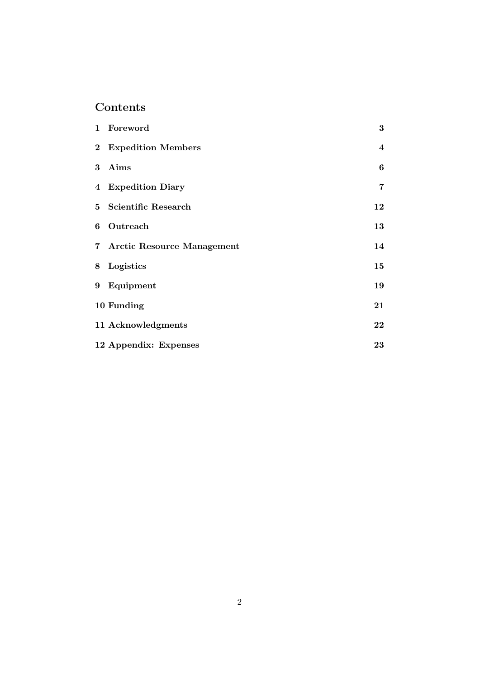## Contents

| $\mathbf{1}$ | Foreword                     | $\bf{3}$                |
|--------------|------------------------------|-------------------------|
| $\bf{2}$     | <b>Expedition Members</b>    | $\overline{\mathbf{4}}$ |
| 3            | Aims                         | $\boldsymbol{6}$        |
|              | 4 Expedition Diary           | 7                       |
|              | 5 Scientific Research        | 12                      |
| 6            | Outreach                     | 13                      |
|              | 7 Arctic Resource Management | 14                      |
|              | 8 Logistics                  | $15\,$                  |
| 9            | Equipment                    | 19                      |
|              | 10 Funding                   | 21                      |
|              | 11 Acknowledgments           | 22                      |
|              | 12 Appendix: Expenses        | 23                      |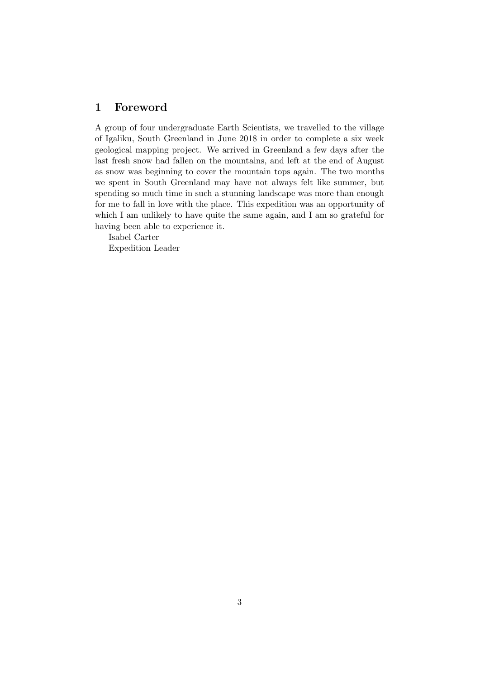## 1 Foreword

A group of four undergraduate Earth Scientists, we travelled to the village of Igaliku, South Greenland in June 2018 in order to complete a six week geological mapping project. We arrived in Greenland a few days after the last fresh snow had fallen on the mountains, and left at the end of August as snow was beginning to cover the mountain tops again. The two months we spent in South Greenland may have not always felt like summer, but spending so much time in such a stunning landscape was more than enough for me to fall in love with the place. This expedition was an opportunity of which I am unlikely to have quite the same again, and I am so grateful for having been able to experience it.

Isabel Carter Expedition Leader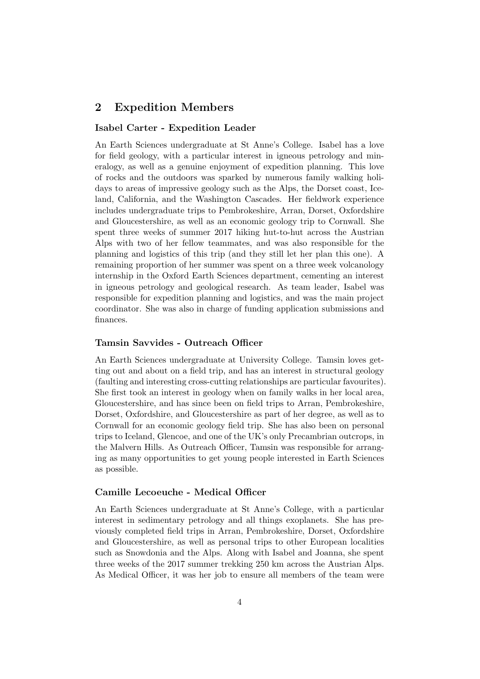## 2 Expedition Members

#### Isabel Carter - Expedition Leader

An Earth Sciences undergraduate at St Anne's College. Isabel has a love for field geology, with a particular interest in igneous petrology and mineralogy, as well as a genuine enjoyment of expedition planning. This love of rocks and the outdoors was sparked by numerous family walking holidays to areas of impressive geology such as the Alps, the Dorset coast, Iceland, California, and the Washington Cascades. Her fieldwork experience includes undergraduate trips to Pembrokeshire, Arran, Dorset, Oxfordshire and Gloucestershire, as well as an economic geology trip to Cornwall. She spent three weeks of summer 2017 hiking hut-to-hut across the Austrian Alps with two of her fellow teammates, and was also responsible for the planning and logistics of this trip (and they still let her plan this one). A remaining proportion of her summer was spent on a three week volcanology internship in the Oxford Earth Sciences department, cementing an interest in igneous petrology and geological research. As team leader, Isabel was responsible for expedition planning and logistics, and was the main project coordinator. She was also in charge of funding application submissions and finances.

#### Tamsin Savvides - Outreach Officer

An Earth Sciences undergraduate at University College. Tamsin loves getting out and about on a field trip, and has an interest in structural geology (faulting and interesting cross-cutting relationships are particular favourites). She first took an interest in geology when on family walks in her local area, Gloucestershire, and has since been on field trips to Arran, Pembrokeshire, Dorset, Oxfordshire, and Gloucestershire as part of her degree, as well as to Cornwall for an economic geology field trip. She has also been on personal trips to Iceland, Glencoe, and one of the UK's only Precambrian outcrops, in the Malvern Hills. As Outreach Officer, Tamsin was responsible for arranging as many opportunities to get young people interested in Earth Sciences as possible.

#### Camille Lecoeuche - Medical Officer

An Earth Sciences undergraduate at St Anne's College, with a particular interest in sedimentary petrology and all things exoplanets. She has previously completed field trips in Arran, Pembrokeshire, Dorset, Oxfordshire and Gloucestershire, as well as personal trips to other European localities such as Snowdonia and the Alps. Along with Isabel and Joanna, she spent three weeks of the 2017 summer trekking 250 km across the Austrian Alps. As Medical Officer, it was her job to ensure all members of the team were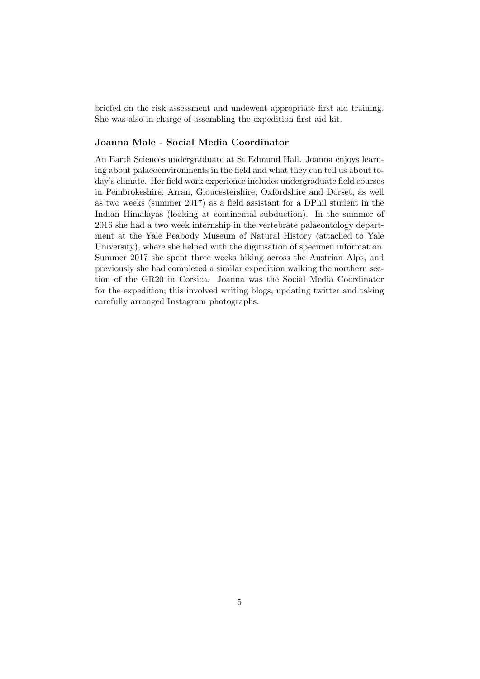briefed on the risk assessment and undewent appropriate first aid training. She was also in charge of assembling the expedition first aid kit.

#### Joanna Male - Social Media Coordinator

An Earth Sciences undergraduate at St Edmund Hall. Joanna enjoys learning about palaeoenvironments in the field and what they can tell us about today's climate. Her field work experience includes undergraduate field courses in Pembrokeshire, Arran, Gloucestershire, Oxfordshire and Dorset, as well as two weeks (summer 2017) as a field assistant for a DPhil student in the Indian Himalayas (looking at continental subduction). In the summer of 2016 she had a two week internship in the vertebrate palaeontology department at the Yale Peabody Museum of Natural History (attached to Yale University), where she helped with the digitisation of specimen information. Summer 2017 she spent three weeks hiking across the Austrian Alps, and previously she had completed a similar expedition walking the northern section of the GR20 in Corsica. Joanna was the Social Media Coordinator for the expedition; this involved writing blogs, updating twitter and taking carefully arranged Instagram photographs.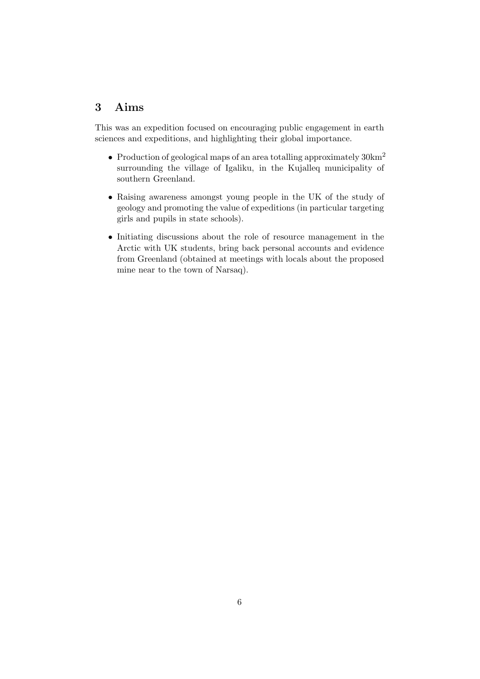## 3 Aims

This was an expedition focused on encouraging public engagement in earth sciences and expeditions, and highlighting their global importance.

- Production of geological maps of an area totalling approximately 30km<sup>2</sup> surrounding the village of Igaliku, in the Kujalleq municipality of southern Greenland.
- Raising awareness amongst young people in the UK of the study of geology and promoting the value of expeditions (in particular targeting girls and pupils in state schools).
- Initiating discussions about the role of resource management in the Arctic with UK students, bring back personal accounts and evidence from Greenland (obtained at meetings with locals about the proposed mine near to the town of Narsaq).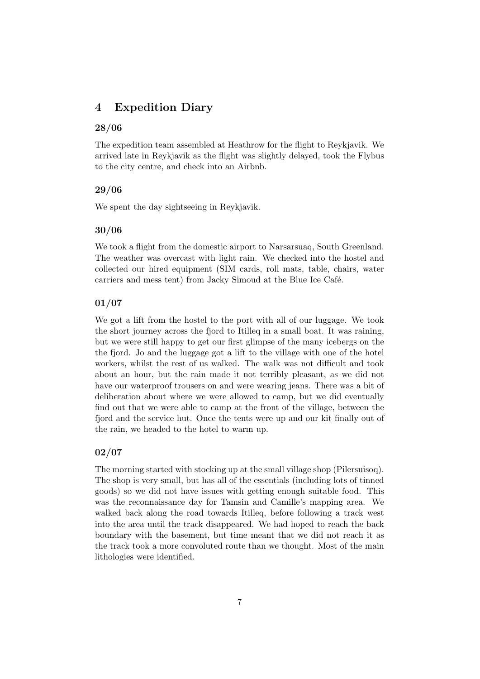## 4 Expedition Diary

#### 28/06

The expedition team assembled at Heathrow for the flight to Reykjavik. We arrived late in Reykjavik as the flight was slightly delayed, took the Flybus to the city centre, and check into an Airbnb.

#### 29/06

We spent the day sightseeing in Reykjavik.

#### 30/06

We took a flight from the domestic airport to Narsarsuaq, South Greenland. The weather was overcast with light rain. We checked into the hostel and collected our hired equipment (SIM cards, roll mats, table, chairs, water carriers and mess tent) from Jacky Simoud at the Blue Ice Café.

#### 01/07

We got a lift from the hostel to the port with all of our luggage. We took the short journey across the fjord to Itilleq in a small boat. It was raining, but we were still happy to get our first glimpse of the many icebergs on the the fjord. Jo and the luggage got a lift to the village with one of the hotel workers, whilst the rest of us walked. The walk was not difficult and took about an hour, but the rain made it not terribly pleasant, as we did not have our waterproof trousers on and were wearing jeans. There was a bit of deliberation about where we were allowed to camp, but we did eventually find out that we were able to camp at the front of the village, between the fjord and the service hut. Once the tents were up and our kit finally out of the rain, we headed to the hotel to warm up.

#### 02/07

The morning started with stocking up at the small village shop (Pilersuisoq). The shop is very small, but has all of the essentials (including lots of tinned goods) so we did not have issues with getting enough suitable food. This was the reconnaissance day for Tamsin and Camille's mapping area. We walked back along the road towards Itilleq, before following a track west into the area until the track disappeared. We had hoped to reach the back boundary with the basement, but time meant that we did not reach it as the track took a more convoluted route than we thought. Most of the main lithologies were identified.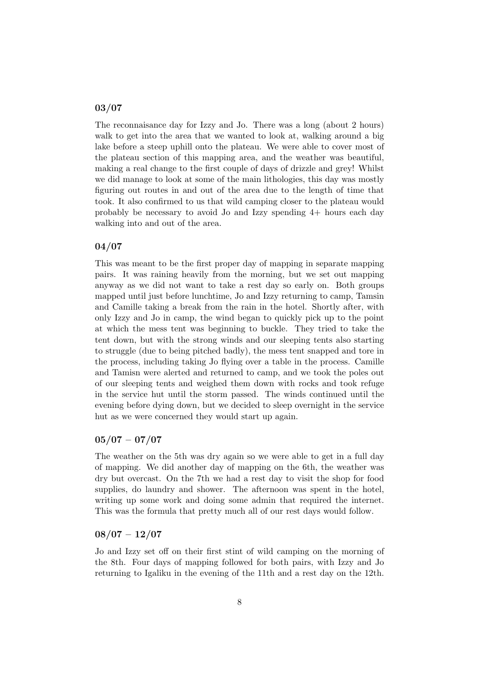#### 03/07

The reconnaisance day for Izzy and Jo. There was a long (about 2 hours) walk to get into the area that we wanted to look at, walking around a big lake before a steep uphill onto the plateau. We were able to cover most of the plateau section of this mapping area, and the weather was beautiful, making a real change to the first couple of days of drizzle and grey! Whilst we did manage to look at some of the main lithologies, this day was mostly figuring out routes in and out of the area due to the length of time that took. It also confirmed to us that wild camping closer to the plateau would probably be necessary to avoid Jo and Izzy spending 4+ hours each day walking into and out of the area.

#### 04/07

This was meant to be the first proper day of mapping in separate mapping pairs. It was raining heavily from the morning, but we set out mapping anyway as we did not want to take a rest day so early on. Both groups mapped until just before lunchtime, Jo and Izzy returning to camp, Tamsin and Camille taking a break from the rain in the hotel. Shortly after, with only Izzy and Jo in camp, the wind began to quickly pick up to the point at which the mess tent was beginning to buckle. They tried to take the tent down, but with the strong winds and our sleeping tents also starting to struggle (due to being pitched badly), the mess tent snapped and tore in the process, including taking Jo flying over a table in the process. Camille and Tamisn were alerted and returned to camp, and we took the poles out of our sleeping tents and weighed them down with rocks and took refuge in the service hut until the storm passed. The winds continued until the evening before dying down, but we decided to sleep overnight in the service hut as we were concerned they would start up again.

#### $05/07 - 07/07$

The weather on the 5th was dry again so we were able to get in a full day of mapping. We did another day of mapping on the 6th, the weather was dry but overcast. On the 7th we had a rest day to visit the shop for food supplies, do laundry and shower. The afternoon was spent in the hotel, writing up some work and doing some admin that required the internet. This was the formula that pretty much all of our rest days would follow.

#### $08/07 - 12/07$

Jo and Izzy set off on their first stint of wild camping on the morning of the 8th. Four days of mapping followed for both pairs, with Izzy and Jo returning to Igaliku in the evening of the 11th and a rest day on the 12th.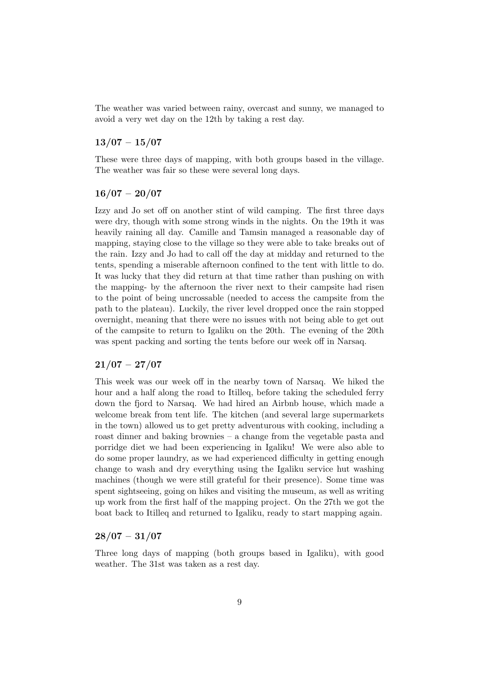The weather was varied between rainy, overcast and sunny, we managed to avoid a very wet day on the 12th by taking a rest day.

#### $13/07 - 15/07$

These were three days of mapping, with both groups based in the village. The weather was fair so these were several long days.

#### $16/07 - 20/07$

Izzy and Jo set off on another stint of wild camping. The first three days were dry, though with some strong winds in the nights. On the 19th it was heavily raining all day. Camille and Tamsin managed a reasonable day of mapping, staying close to the village so they were able to take breaks out of the rain. Izzy and Jo had to call off the day at midday and returned to the tents, spending a miserable afternoon confined to the tent with little to do. It was lucky that they did return at that time rather than pushing on with the mapping- by the afternoon the river next to their campsite had risen to the point of being uncrossable (needed to access the campsite from the path to the plateau). Luckily, the river level dropped once the rain stopped overnight, meaning that there were no issues with not being able to get out of the campsite to return to Igaliku on the 20th. The evening of the 20th was spent packing and sorting the tents before our week off in Narsaq.

#### $21/07 - 27/07$

This week was our week off in the nearby town of Narsaq. We hiked the hour and a half along the road to Itilleq, before taking the scheduled ferry down the fjord to Narsaq. We had hired an Airbnb house, which made a welcome break from tent life. The kitchen (and several large supermarkets in the town) allowed us to get pretty adventurous with cooking, including a roast dinner and baking brownies – a change from the vegetable pasta and porridge diet we had been experiencing in Igaliku! We were also able to do some proper laundry, as we had experienced difficulty in getting enough change to wash and dry everything using the Igaliku service hut washing machines (though we were still grateful for their presence). Some time was spent sightseeing, going on hikes and visiting the museum, as well as writing up work from the first half of the mapping project. On the 27th we got the boat back to Itilleq and returned to Igaliku, ready to start mapping again.

#### $28/07 - 31/07$

Three long days of mapping (both groups based in Igaliku), with good weather. The 31st was taken as a rest day.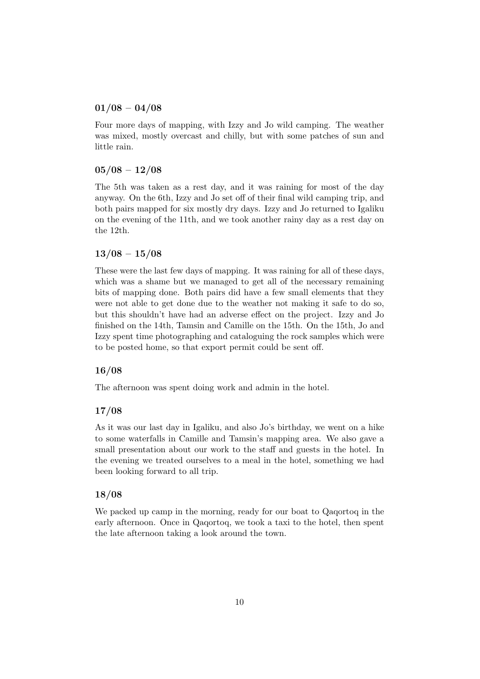#### $01/08 - 04/08$

Four more days of mapping, with Izzy and Jo wild camping. The weather was mixed, mostly overcast and chilly, but with some patches of sun and little rain.

#### $05/08 - 12/08$

The 5th was taken as a rest day, and it was raining for most of the day anyway. On the 6th, Izzy and Jo set off of their final wild camping trip, and both pairs mapped for six mostly dry days. Izzy and Jo returned to Igaliku on the evening of the 11th, and we took another rainy day as a rest day on the 12th.

#### $13/08 - 15/08$

These were the last few days of mapping. It was raining for all of these days, which was a shame but we managed to get all of the necessary remaining bits of mapping done. Both pairs did have a few small elements that they were not able to get done due to the weather not making it safe to do so, but this shouldn't have had an adverse effect on the project. Izzy and Jo finished on the 14th, Tamsin and Camille on the 15th. On the 15th, Jo and Izzy spent time photographing and cataloguing the rock samples which were to be posted home, so that export permit could be sent off.

#### 16/08

The afternoon was spent doing work and admin in the hotel.

#### 17/08

As it was our last day in Igaliku, and also Jo's birthday, we went on a hike to some waterfalls in Camille and Tamsin's mapping area. We also gave a small presentation about our work to the staff and guests in the hotel. In the evening we treated ourselves to a meal in the hotel, something we had been looking forward to all trip.

#### 18/08

We packed up camp in the morning, ready for our boat to Qaqortoq in the early afternoon. Once in Qaqortoq, we took a taxi to the hotel, then spent the late afternoon taking a look around the town.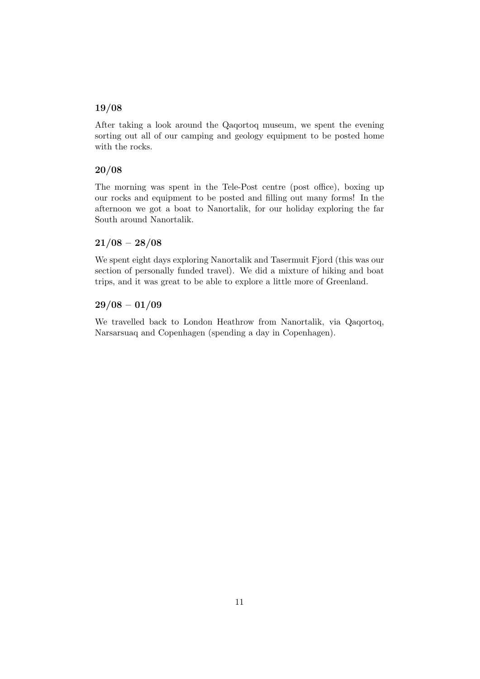#### 19/08

After taking a look around the Qaqortoq museum, we spent the evening sorting out all of our camping and geology equipment to be posted home with the rocks.

#### 20/08

The morning was spent in the Tele-Post centre (post office), boxing up our rocks and equipment to be posted and filling out many forms! In the afternoon we got a boat to Nanortalik, for our holiday exploring the far South around Nanortalik.

#### $21/08 - 28/08$

We spent eight days exploring Nanortalik and Tasermuit Fjord (this was our section of personally funded travel). We did a mixture of hiking and boat trips, and it was great to be able to explore a little more of Greenland.

### $29/08 - 01/09$

We travelled back to London Heathrow from Nanortalik, via Qaqortoq, Narsarsuaq and Copenhagen (spending a day in Copenhagen).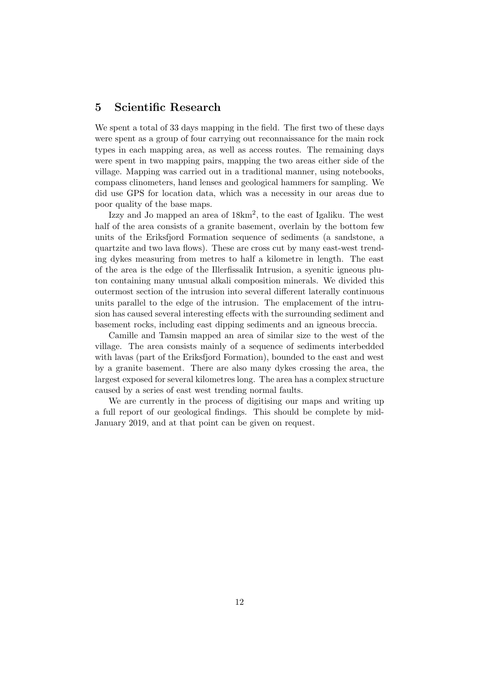## 5 Scientific Research

We spent a total of 33 days mapping in the field. The first two of these days were spent as a group of four carrying out reconnaissance for the main rock types in each mapping area, as well as access routes. The remaining days were spent in two mapping pairs, mapping the two areas either side of the village. Mapping was carried out in a traditional manner, using notebooks, compass clinometers, hand lenses and geological hammers for sampling. We did use GPS for location data, which was a necessity in our areas due to poor quality of the base maps.

Izzy and Jo mapped an area of  $18 \text{km}^2$ , to the east of Igaliku. The west half of the area consists of a granite basement, overlain by the bottom few units of the Eriksfjord Formation sequence of sediments (a sandstone, a quartzite and two lava flows). These are cross cut by many east-west trending dykes measuring from metres to half a kilometre in length. The east of the area is the edge of the Illerfissalik Intrusion, a syenitic igneous pluton containing many unusual alkali composition minerals. We divided this outermost section of the intrusion into several different laterally continuous units parallel to the edge of the intrusion. The emplacement of the intrusion has caused several interesting effects with the surrounding sediment and basement rocks, including east dipping sediments and an igneous breccia.

Camille and Tamsin mapped an area of similar size to the west of the village. The area consists mainly of a sequence of sediments interbedded with lavas (part of the Eriksfjord Formation), bounded to the east and west by a granite basement. There are also many dykes crossing the area, the largest exposed for several kilometres long. The area has a complex structure caused by a series of east west trending normal faults.

We are currently in the process of digitising our maps and writing up a full report of our geological findings. This should be complete by mid-January 2019, and at that point can be given on request.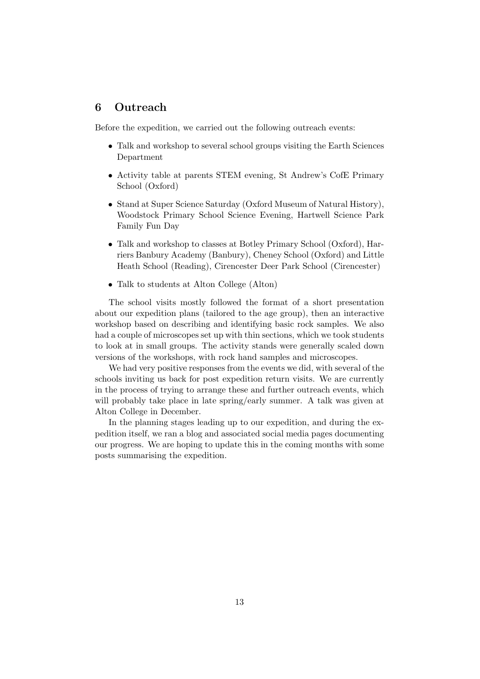### 6 Outreach

Before the expedition, we carried out the following outreach events:

- Talk and workshop to several school groups visiting the Earth Sciences Department
- Activity table at parents STEM evening, St Andrew's CofE Primary School (Oxford)
- Stand at Super Science Saturday (Oxford Museum of Natural History), Woodstock Primary School Science Evening, Hartwell Science Park Family Fun Day
- Talk and workshop to classes at Botley Primary School (Oxford), Harriers Banbury Academy (Banbury), Cheney School (Oxford) and Little Heath School (Reading), Cirencester Deer Park School (Cirencester)
- Talk to students at Alton College (Alton)

The school visits mostly followed the format of a short presentation about our expedition plans (tailored to the age group), then an interactive workshop based on describing and identifying basic rock samples. We also had a couple of microscopes set up with thin sections, which we took students to look at in small groups. The activity stands were generally scaled down versions of the workshops, with rock hand samples and microscopes.

We had very positive responses from the events we did, with several of the schools inviting us back for post expedition return visits. We are currently in the process of trying to arrange these and further outreach events, which will probably take place in late spring/early summer. A talk was given at Alton College in December.

In the planning stages leading up to our expedition, and during the expedition itself, we ran a blog and associated social media pages documenting our progress. We are hoping to update this in the coming months with some posts summarising the expedition.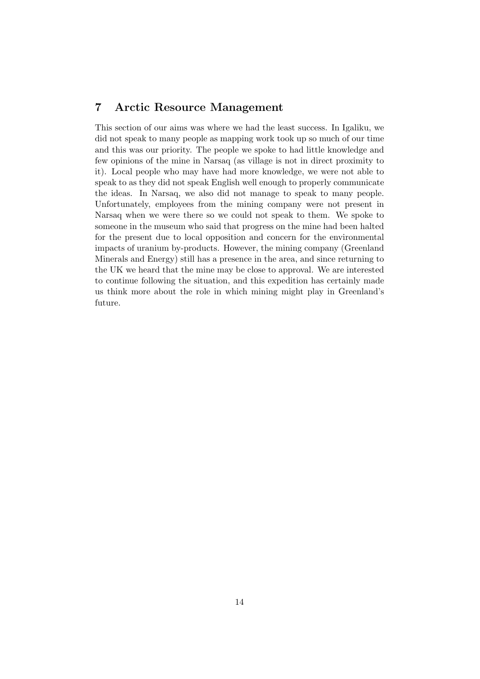## 7 Arctic Resource Management

This section of our aims was where we had the least success. In Igaliku, we did not speak to many people as mapping work took up so much of our time and this was our priority. The people we spoke to had little knowledge and few opinions of the mine in Narsaq (as village is not in direct proximity to it). Local people who may have had more knowledge, we were not able to speak to as they did not speak English well enough to properly communicate the ideas. In Narsaq, we also did not manage to speak to many people. Unfortunately, employees from the mining company were not present in Narsaq when we were there so we could not speak to them. We spoke to someone in the museum who said that progress on the mine had been halted for the present due to local opposition and concern for the environmental impacts of uranium by-products. However, the mining company (Greenland Minerals and Energy) still has a presence in the area, and since returning to the UK we heard that the mine may be close to approval. We are interested to continue following the situation, and this expedition has certainly made us think more about the role in which mining might play in Greenland's future.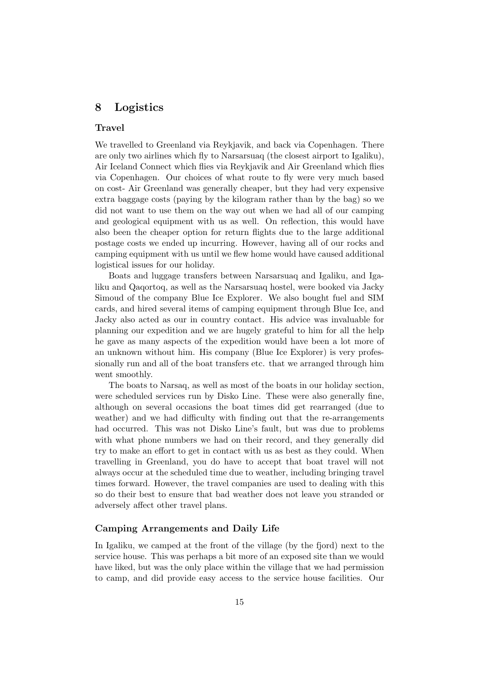## 8 Logistics

#### Travel

We travelled to Greenland via Reykjavik, and back via Copenhagen. There are only two airlines which fly to Narsarsuaq (the closest airport to Igaliku), Air Iceland Connect which flies via Reykjavik and Air Greenland which flies via Copenhagen. Our choices of what route to fly were very much based on cost- Air Greenland was generally cheaper, but they had very expensive extra baggage costs (paying by the kilogram rather than by the bag) so we did not want to use them on the way out when we had all of our camping and geological equipment with us as well. On reflection, this would have also been the cheaper option for return flights due to the large additional postage costs we ended up incurring. However, having all of our rocks and camping equipment with us until we flew home would have caused additional logistical issues for our holiday.

Boats and luggage transfers between Narsarsuaq and Igaliku, and Igaliku and Qaqortoq, as well as the Narsarsuaq hostel, were booked via Jacky Simoud of the company Blue Ice Explorer. We also bought fuel and SIM cards, and hired several items of camping equipment through Blue Ice, and Jacky also acted as our in country contact. His advice was invaluable for planning our expedition and we are hugely grateful to him for all the help he gave as many aspects of the expedition would have been a lot more of an unknown without him. His company (Blue Ice Explorer) is very professionally run and all of the boat transfers etc. that we arranged through him went smoothly.

The boats to Narsaq, as well as most of the boats in our holiday section, were scheduled services run by Disko Line. These were also generally fine, although on several occasions the boat times did get rearranged (due to weather) and we had difficulty with finding out that the re-arrangements had occurred. This was not Disko Line's fault, but was due to problems with what phone numbers we had on their record, and they generally did try to make an effort to get in contact with us as best as they could. When travelling in Greenland, you do have to accept that boat travel will not always occur at the scheduled time due to weather, including bringing travel times forward. However, the travel companies are used to dealing with this so do their best to ensure that bad weather does not leave you stranded or adversely affect other travel plans.

#### Camping Arrangements and Daily Life

In Igaliku, we camped at the front of the village (by the fjord) next to the service house. This was perhaps a bit more of an exposed site than we would have liked, but was the only place within the village that we had permission to camp, and did provide easy access to the service house facilities. Our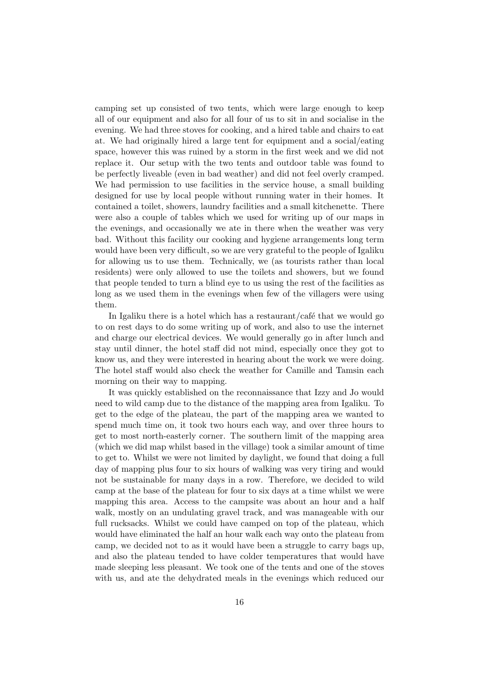camping set up consisted of two tents, which were large enough to keep all of our equipment and also for all four of us to sit in and socialise in the evening. We had three stoves for cooking, and a hired table and chairs to eat at. We had originally hired a large tent for equipment and a social/eating space, however this was ruined by a storm in the first week and we did not replace it. Our setup with the two tents and outdoor table was found to be perfectly liveable (even in bad weather) and did not feel overly cramped. We had permission to use facilities in the service house, a small building designed for use by local people without running water in their homes. It contained a toilet, showers, laundry facilities and a small kitchenette. There were also a couple of tables which we used for writing up of our maps in the evenings, and occasionally we ate in there when the weather was very bad. Without this facility our cooking and hygiene arrangements long term would have been very difficult, so we are very grateful to the people of Igaliku for allowing us to use them. Technically, we (as tourists rather than local residents) were only allowed to use the toilets and showers, but we found that people tended to turn a blind eye to us using the rest of the facilities as long as we used them in the evenings when few of the villagers were using them.

In Igaliku there is a hotel which has a restaurant/café that we would go to on rest days to do some writing up of work, and also to use the internet and charge our electrical devices. We would generally go in after lunch and stay until dinner, the hotel staff did not mind, especially once they got to know us, and they were interested in hearing about the work we were doing. The hotel staff would also check the weather for Camille and Tamsin each morning on their way to mapping.

It was quickly established on the reconnaissance that Izzy and Jo would need to wild camp due to the distance of the mapping area from Igaliku. To get to the edge of the plateau, the part of the mapping area we wanted to spend much time on, it took two hours each way, and over three hours to get to most north-easterly corner. The southern limit of the mapping area (which we did map whilst based in the village) took a similar amount of time to get to. Whilst we were not limited by daylight, we found that doing a full day of mapping plus four to six hours of walking was very tiring and would not be sustainable for many days in a row. Therefore, we decided to wild camp at the base of the plateau for four to six days at a time whilst we were mapping this area. Access to the campsite was about an hour and a half walk, mostly on an undulating gravel track, and was manageable with our full rucksacks. Whilst we could have camped on top of the plateau, which would have eliminated the half an hour walk each way onto the plateau from camp, we decided not to as it would have been a struggle to carry bags up, and also the plateau tended to have colder temperatures that would have made sleeping less pleasant. We took one of the tents and one of the stoves with us, and ate the dehydrated meals in the evenings which reduced our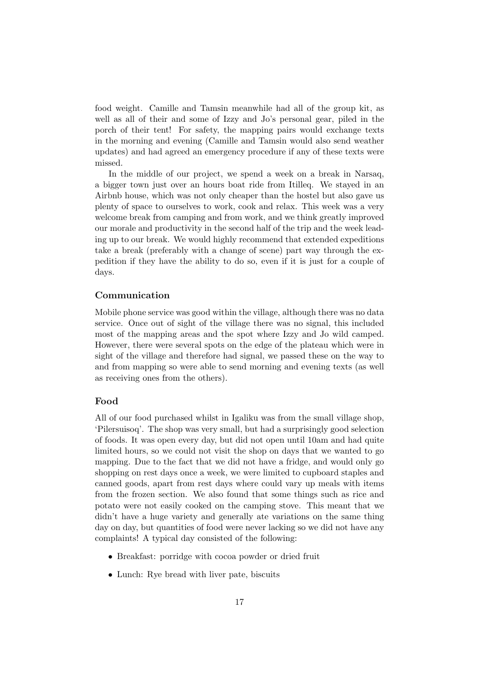food weight. Camille and Tamsin meanwhile had all of the group kit, as well as all of their and some of Izzy and Jo's personal gear, piled in the porch of their tent! For safety, the mapping pairs would exchange texts in the morning and evening (Camille and Tamsin would also send weather updates) and had agreed an emergency procedure if any of these texts were missed.

In the middle of our project, we spend a week on a break in Narsaq, a bigger town just over an hours boat ride from Itilleq. We stayed in an Airbnb house, which was not only cheaper than the hostel but also gave us plenty of space to ourselves to work, cook and relax. This week was a very welcome break from camping and from work, and we think greatly improved our morale and productivity in the second half of the trip and the week leading up to our break. We would highly recommend that extended expeditions take a break (preferably with a change of scene) part way through the expedition if they have the ability to do so, even if it is just for a couple of days.

#### Communication

Mobile phone service was good within the village, although there was no data service. Once out of sight of the village there was no signal, this included most of the mapping areas and the spot where Izzy and Jo wild camped. However, there were several spots on the edge of the plateau which were in sight of the village and therefore had signal, we passed these on the way to and from mapping so were able to send morning and evening texts (as well as receiving ones from the others).

#### Food

All of our food purchased whilst in Igaliku was from the small village shop, 'Pilersuisoq'. The shop was very small, but had a surprisingly good selection of foods. It was open every day, but did not open until 10am and had quite limited hours, so we could not visit the shop on days that we wanted to go mapping. Due to the fact that we did not have a fridge, and would only go shopping on rest days once a week, we were limited to cupboard staples and canned goods, apart from rest days where could vary up meals with items from the frozen section. We also found that some things such as rice and potato were not easily cooked on the camping stove. This meant that we didn't have a huge variety and generally ate variations on the same thing day on day, but quantities of food were never lacking so we did not have any complaints! A typical day consisted of the following:

- Breakfast: porridge with cocoa powder or dried fruit
- Lunch: Rye bread with liver pate, biscuits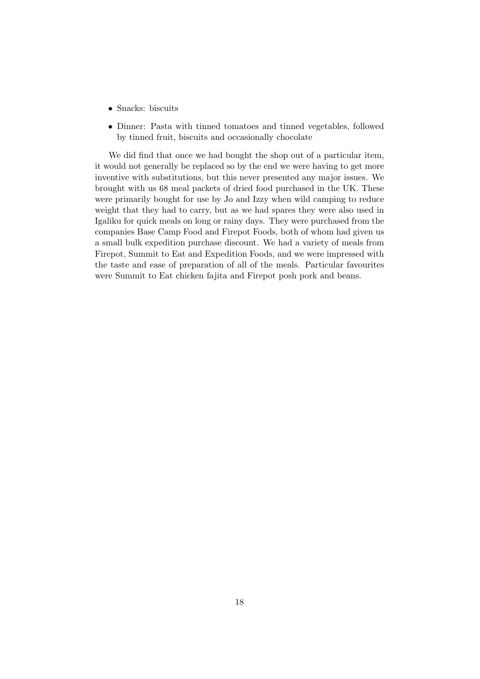- Snacks: biscuits
- Dinner: Pasta with tinned tomatoes and tinned vegetables, followed by tinned fruit, biscuits and occasionally chocolate

We did find that once we had bought the shop out of a particular item, it would not generally be replaced so by the end we were having to get more inventive with substitutions, but this never presented any major issues. We brought with us 68 meal packets of dried food purchased in the UK. These were primarily bought for use by Jo and Izzy when wild camping to reduce weight that they had to carry, but as we had spares they were also used in Igaliku for quick meals on long or rainy days. They were purchased from the companies Base Camp Food and Firepot Foods, both of whom had given us a small bulk expedition purchase discount. We had a variety of meals from Firepot, Summit to Eat and Expedition Foods, and we were impressed with the taste and ease of preparation of all of the meals. Particular favourites were Summit to Eat chicken fajita and Firepot posh pork and beans.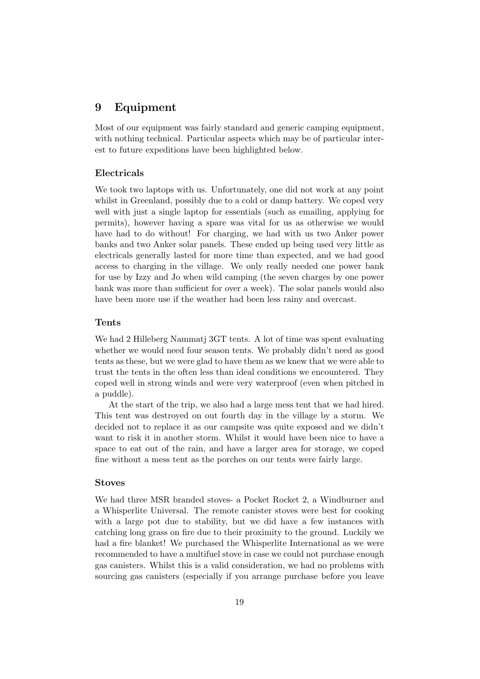## 9 Equipment

Most of our equipment was fairly standard and generic camping equipment, with nothing technical. Particular aspects which may be of particular interest to future expeditions have been highlighted below.

#### Electricals

We took two laptops with us. Unfortunately, one did not work at any point whilst in Greenland, possibly due to a cold or damp battery. We coped very well with just a single laptop for essentials (such as emailing, applying for permits), however having a spare was vital for us as otherwise we would have had to do without! For charging, we had with us two Anker power banks and two Anker solar panels. These ended up being used very little as electricals generally lasted for more time than expected, and we had good access to charging in the village. We only really needed one power bank for use by Izzy and Jo when wild camping (the seven charges by one power bank was more than sufficient for over a week). The solar panels would also have been more use if the weather had been less rainy and overcast.

#### Tents

We had 2 Hilleberg Nammatj 3GT tents. A lot of time was spent evaluating whether we would need four season tents. We probably didn't need as good tents as these, but we were glad to have them as we knew that we were able to trust the tents in the often less than ideal conditions we encountered. They coped well in strong winds and were very waterproof (even when pitched in a puddle).

At the start of the trip, we also had a large mess tent that we had hired. This tent was destroyed on out fourth day in the village by a storm. We decided not to replace it as our campsite was quite exposed and we didn't want to risk it in another storm. Whilst it would have been nice to have a space to eat out of the rain, and have a larger area for storage, we coped fine without a mess tent as the porches on our tents were fairly large.

#### Stoves

We had three MSR branded stoves- a Pocket Rocket 2, a Windburner and a Whisperlite Universal. The remote canister stoves were best for cooking with a large pot due to stability, but we did have a few instances with catching long grass on fire due to their proximity to the ground. Luckily we had a fire blanket! We purchased the Whisperlite International as we were recommended to have a multifuel stove in case we could not purchase enough gas canisters. Whilst this is a valid consideration, we had no problems with sourcing gas canisters (especially if you arrange purchase before you leave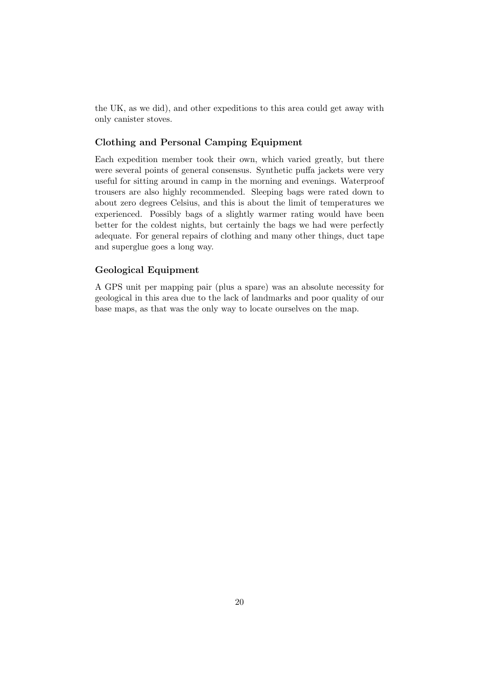the UK, as we did), and other expeditions to this area could get away with only canister stoves.

#### Clothing and Personal Camping Equipment

Each expedition member took their own, which varied greatly, but there were several points of general consensus. Synthetic puffa jackets were very useful for sitting around in camp in the morning and evenings. Waterproof trousers are also highly recommended. Sleeping bags were rated down to about zero degrees Celsius, and this is about the limit of temperatures we experienced. Possibly bags of a slightly warmer rating would have been better for the coldest nights, but certainly the bags we had were perfectly adequate. For general repairs of clothing and many other things, duct tape and superglue goes a long way.

#### Geological Equipment

A GPS unit per mapping pair (plus a spare) was an absolute necessity for geological in this area due to the lack of landmarks and poor quality of our base maps, as that was the only way to locate ourselves on the map.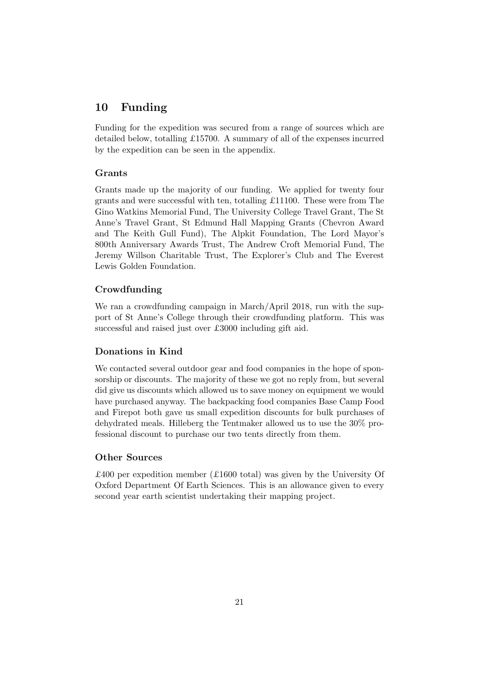## 10 Funding

Funding for the expedition was secured from a range of sources which are detailed below, totalling £15700. A summary of all of the expenses incurred by the expedition can be seen in the appendix.

#### Grants

Grants made up the majority of our funding. We applied for twenty four grants and were successful with ten, totalling £11100. These were from The Gino Watkins Memorial Fund, The University College Travel Grant, The St Anne's Travel Grant, St Edmund Hall Mapping Grants (Chevron Award and The Keith Gull Fund), The Alpkit Foundation, The Lord Mayor's 800th Anniversary Awards Trust, The Andrew Croft Memorial Fund, The Jeremy Willson Charitable Trust, The Explorer's Club and The Everest Lewis Golden Foundation.

#### Crowdfunding

We ran a crowdfunding campaign in March/April 2018, run with the support of St Anne's College through their crowdfunding platform. This was successful and raised just over £3000 including gift aid.

#### Donations in Kind

We contacted several outdoor gear and food companies in the hope of sponsorship or discounts. The majority of these we got no reply from, but several did give us discounts which allowed us to save money on equipment we would have purchased anyway. The backpacking food companies Base Camp Food and Firepot both gave us small expedition discounts for bulk purchases of dehydrated meals. Hilleberg the Tentmaker allowed us to use the 30% professional discount to purchase our two tents directly from them.

#### Other Sources

£400 per expedition member (£1600 total) was given by the University Of Oxford Department Of Earth Sciences. This is an allowance given to every second year earth scientist undertaking their mapping project.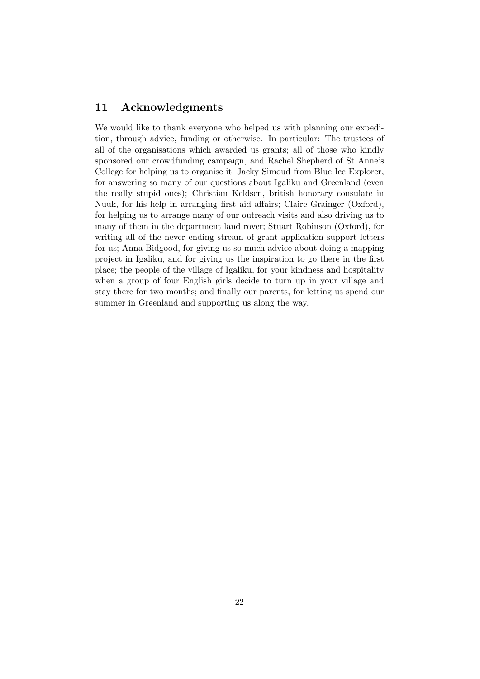## 11 Acknowledgments

We would like to thank everyone who helped us with planning our expedition, through advice, funding or otherwise. In particular: The trustees of all of the organisations which awarded us grants; all of those who kindly sponsored our crowdfunding campaign, and Rachel Shepherd of St Anne's College for helping us to organise it; Jacky Simoud from Blue Ice Explorer, for answering so many of our questions about Igaliku and Greenland (even the really stupid ones); Christian Keldsen, british honorary consulate in Nuuk, for his help in arranging first aid affairs; Claire Grainger (Oxford), for helping us to arrange many of our outreach visits and also driving us to many of them in the department land rover; Stuart Robinson (Oxford), for writing all of the never ending stream of grant application support letters for us; Anna Bidgood, for giving us so much advice about doing a mapping project in Igaliku, and for giving us the inspiration to go there in the first place; the people of the village of Igaliku, for your kindness and hospitality when a group of four English girls decide to turn up in your village and stay there for two months; and finally our parents, for letting us spend our summer in Greenland and supporting us along the way.